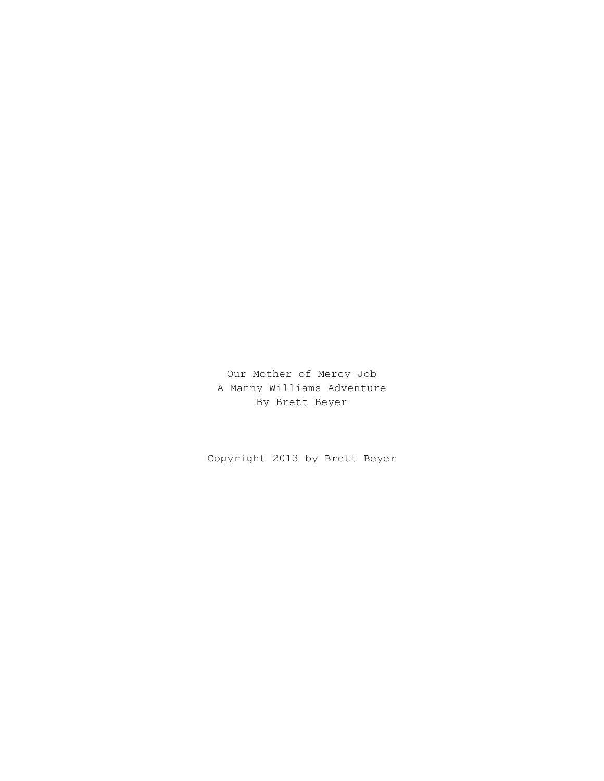Our Mother of Mercy Job A Manny Williams Adventure By Brett Beyer

Copyright 2013 by Brett Beyer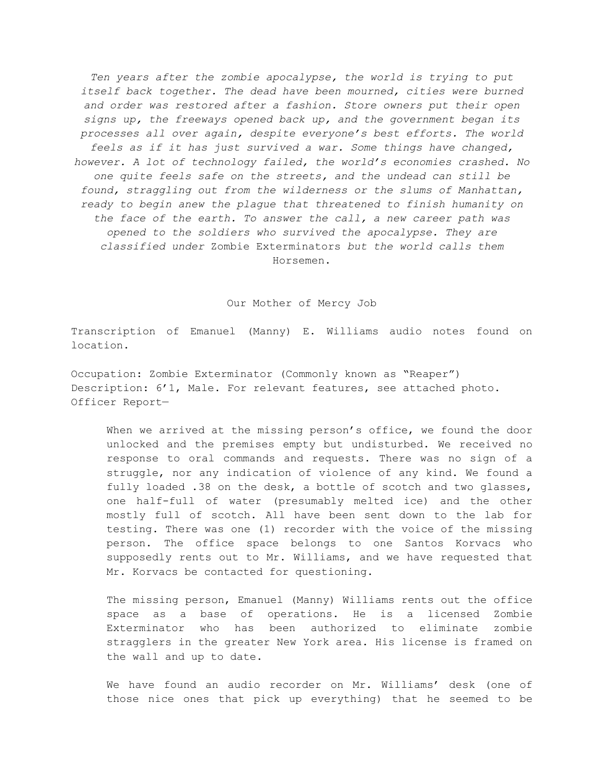*Ten years after the zombie apocalypse, the world is trying to put itself back together. The dead have been mourned, cities were burned and order was restored after a fashion. Store owners put their open signs up, the freeways opened back up, and the government began its processes all over again, despite everyone's best efforts. The world feels as if it has just survived a war. Some things have changed, however. A lot of technology failed, the world's economies crashed. No one quite feels safe on the streets, and the undead can still be found, straggling out from the wilderness or the slums of Manhattan, ready to begin anew the plague that threatened to finish humanity on the face of the earth. To answer the call, a new career path was opened to the soldiers who survived the apocalypse. They are classified under* Zombie Exterminators *but the world calls them* Horsemen.

Our Mother of Mercy Job

Transcription of Emanuel (Manny) E. Williams audio notes found on location.

Occupation: Zombie Exterminator (Commonly known as "Reaper") Description: 6'1, Male. For relevant features, see attached photo. Officer Report—

When we arrived at the missing person's office, we found the door unlocked and the premises empty but undisturbed. We received no response to oral commands and requests. There was no sign of a struggle, nor any indication of violence of any kind. We found a fully loaded .38 on the desk, a bottle of scotch and two glasses, one half-full of water (presumably melted ice) and the other mostly full of scotch. All have been sent down to the lab for testing. There was one (1) recorder with the voice of the missing person. The office space belongs to one Santos Korvacs who supposedly rents out to Mr. Williams, and we have requested that Mr. Korvacs be contacted for questioning.

The missing person, Emanuel (Manny) Williams rents out the office space as a base of operations. He is a licensed Zombie Exterminator who has been authorized to eliminate zombie stragglers in the greater New York area. His license is framed on the wall and up to date.

We have found an audio recorder on Mr. Williams' desk (one of those nice ones that pick up everything) that he seemed to be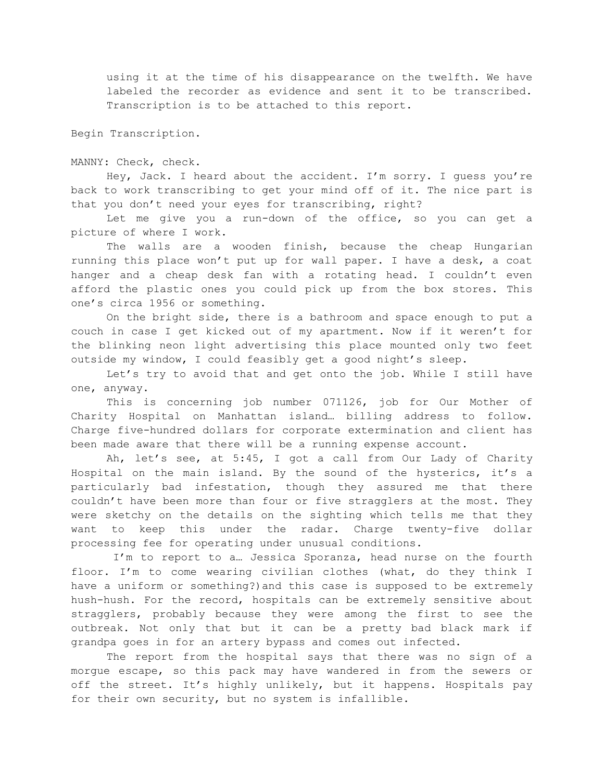using it at the time of his disappearance on the twelfth. We have labeled the recorder as evidence and sent it to be transcribed. Transcription is to be attached to this report.

Begin Transcription.

MANNY: Check, check.

Hey, Jack. I heard about the accident. I'm sorry. I guess you're back to work transcribing to get your mind off of it. The nice part is that you don't need your eyes for transcribing, right?

Let me give you a run-down of the office, so you can get a picture of where I work.

The walls are a wooden finish, because the cheap Hungarian running this place won't put up for wall paper. I have a desk, a coat hanger and a cheap desk fan with a rotating head. I couldn't even afford the plastic ones you could pick up from the box stores. This one's circa 1956 or something.

On the bright side, there is a bathroom and space enough to put a couch in case I get kicked out of my apartment. Now if it weren't for the blinking neon light advertising this place mounted only two feet outside my window, I could feasibly get a good night's sleep.

Let's try to avoid that and get onto the job. While I still have one, anyway.

This is concerning job number 071126, job for Our Mother of Charity Hospital on Manhattan island… billing address to follow. Charge five-hundred dollars for corporate extermination and client has been made aware that there will be a running expense account.

Ah, let's see, at 5:45, I got a call from Our Lady of Charity Hospital on the main island. By the sound of the hysterics, it's a particularly bad infestation, though they assured me that there couldn't have been more than four or five stragglers at the most. They were sketchy on the details on the sighting which tells me that they want to keep this under the radar. Charge twenty-five dollar processing fee for operating under unusual conditions.

I'm to report to a… Jessica Sporanza, head nurse on the fourth floor. I'm to come wearing civilian clothes (what, do they think I have a uniform or something?)and this case is supposed to be extremely hush-hush. For the record, hospitals can be extremely sensitive about stragglers, probably because they were among the first to see the outbreak. Not only that but it can be a pretty bad black mark if grandpa goes in for an artery bypass and comes out infected.

The report from the hospital says that there was no sign of a morgue escape, so this pack may have wandered in from the sewers or off the street. It's highly unlikely, but it happens. Hospitals pay for their own security, but no system is infallible.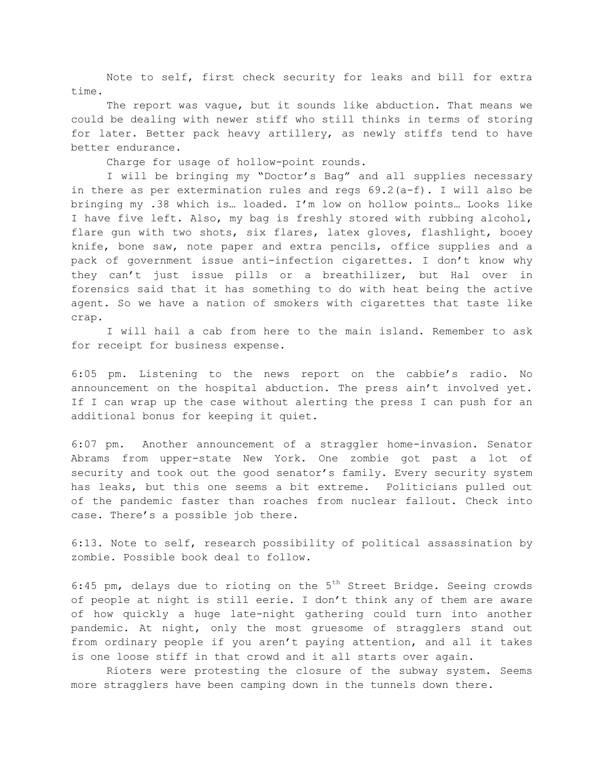Note to self, first check security for leaks and bill for extra time.

The report was vague, but it sounds like abduction. That means we could be dealing with newer stiff who still thinks in terms of storing for later. Better pack heavy artillery, as newly stiffs tend to have better endurance.

Charge for usage of hollow-point rounds.

I will be bringing my "Doctor's Bag" and all supplies necessary in there as per extermination rules and regs  $69.2(a-f)$ . I will also be bringing my .38 which is… loaded. I'm low on hollow points… Looks like I have five left. Also, my bag is freshly stored with rubbing alcohol, flare gun with two shots, six flares, latex gloves, flashlight, booey knife, bone saw, note paper and extra pencils, office supplies and a pack of government issue anti-infection cigarettes. I don't know why they can't just issue pills or a breathilizer, but Hal over in forensics said that it has something to do with heat being the active agent. So we have a nation of smokers with cigarettes that taste like crap.

I will hail a cab from here to the main island. Remember to ask for receipt for business expense.

6:05 pm. Listening to the news report on the cabbie's radio. No announcement on the hospital abduction. The press ain't involved yet. If I can wrap up the case without alerting the press I can push for an additional bonus for keeping it quiet.

6:07 pm. Another announcement of a straggler home-invasion. Senator Abrams from upper-state New York. One zombie got past a lot of security and took out the good senator's family. Every security system has leaks, but this one seems a bit extreme. Politicians pulled out of the pandemic faster than roaches from nuclear fallout. Check into case. There's a possible job there.

6:13. Note to self, research possibility of political assassination by zombie. Possible book deal to follow.

6:45 pm, delays due to rioting on the  $5<sup>th</sup>$  Street Bridge. Seeing crowds of people at night is still eerie. I don't think any of them are aware of how quickly a huge late-night gathering could turn into another pandemic. At night, only the most gruesome of stragglers stand out from ordinary people if you aren't paying attention, and all it takes is one loose stiff in that crowd and it all starts over again.

Rioters were protesting the closure of the subway system. Seems more stragglers have been camping down in the tunnels down there.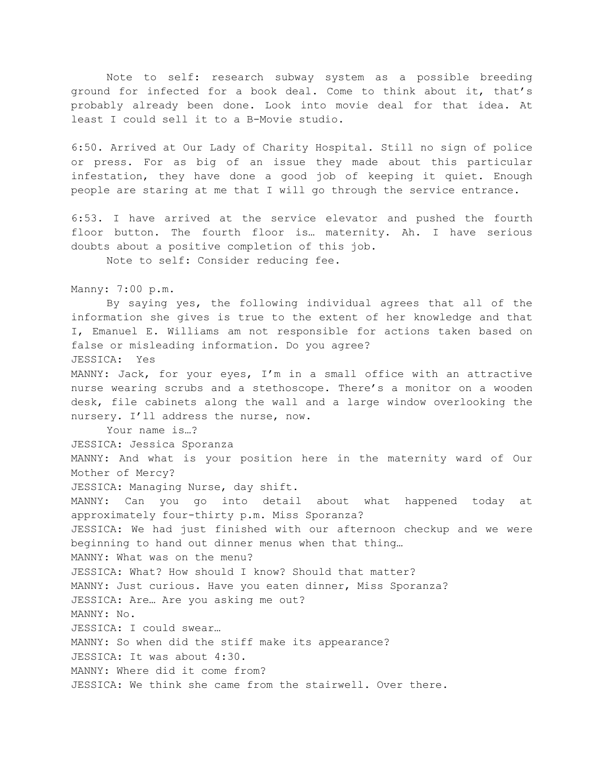Note to self: research subway system as a possible breeding ground for infected for a book deal. Come to think about it, that's probably already been done. Look into movie deal for that idea. At least I could sell it to a B-Movie studio.

6:50. Arrived at Our Lady of Charity Hospital. Still no sign of police or press. For as big of an issue they made about this particular infestation, they have done a good job of keeping it quiet. Enough people are staring at me that I will go through the service entrance.

6:53. I have arrived at the service elevator and pushed the fourth floor button. The fourth floor is… maternity. Ah. I have serious doubts about a positive completion of this job.

Note to self: Consider reducing fee.

Manny: 7:00 p.m.

By saying yes, the following individual agrees that all of the information she gives is true to the extent of her knowledge and that I, Emanuel E. Williams am not responsible for actions taken based on false or misleading information. Do you agree? JESSICA: Yes MANNY: Jack, for your eyes, I'm in a small office with an attractive nurse wearing scrubs and a stethoscope. There's a monitor on a wooden desk, file cabinets along the wall and a large window overlooking the nursery. I'll address the nurse, now.

Your name is…?

JESSICA: Jessica Sporanza MANNY: And what is your position here in the maternity ward of Our Mother of Mercy? JESSICA: Managing Nurse, day shift. MANNY: Can you go into detail about what happened today at approximately four-thirty p.m. Miss Sporanza? JESSICA: We had just finished with our afternoon checkup and we were beginning to hand out dinner menus when that thing… MANNY: What was on the menu? JESSICA: What? How should I know? Should that matter? MANNY: Just curious. Have you eaten dinner, Miss Sporanza? JESSICA: Are… Are you asking me out? MANNY: No. JESSICA: I could swear… MANNY: So when did the stiff make its appearance? JESSICA: It was about 4:30. MANNY: Where did it come from? JESSICA: We think she came from the stairwell. Over there.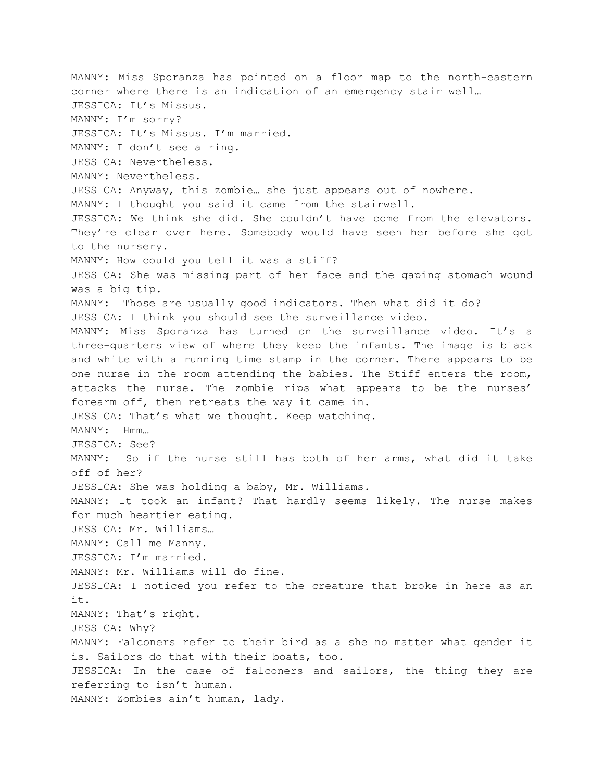MANNY: Miss Sporanza has pointed on a floor map to the north-eastern corner where there is an indication of an emergency stair well… JESSICA: It's Missus. MANNY: I'm sorry? JESSICA: It's Missus. I'm married. MANNY: I don't see a ring. JESSICA: Nevertheless. MANNY: Nevertheless. JESSICA: Anyway, this zombie… she just appears out of nowhere. MANNY: I thought you said it came from the stairwell. JESSICA: We think she did. She couldn't have come from the elevators. They're clear over here. Somebody would have seen her before she got to the nursery. MANNY: How could you tell it was a stiff? JESSICA: She was missing part of her face and the gaping stomach wound was a big tip. MANNY: Those are usually good indicators. Then what did it do? JESSICA: I think you should see the surveillance video. MANNY: Miss Sporanza has turned on the surveillance video. It's a three-quarters view of where they keep the infants. The image is black and white with a running time stamp in the corner. There appears to be one nurse in the room attending the babies. The Stiff enters the room, attacks the nurse. The zombie rips what appears to be the nurses' forearm off, then retreats the way it came in. JESSICA: That's what we thought. Keep watching. MANNY: Hmm… JESSICA: See? MANNY: So if the nurse still has both of her arms, what did it take off of her? JESSICA: She was holding a baby, Mr. Williams. MANNY: It took an infant? That hardly seems likely. The nurse makes for much heartier eating. JESSICA: Mr. Williams… MANNY: Call me Manny. JESSICA: I'm married. MANNY: Mr. Williams will do fine. JESSICA: I noticed you refer to the creature that broke in here as an it. MANNY: That's right. JESSICA: Why? MANNY: Falconers refer to their bird as a she no matter what gender it is. Sailors do that with their boats, too. JESSICA: In the case of falconers and sailors, the thing they are referring to isn't human. MANNY: Zombies ain't human, lady.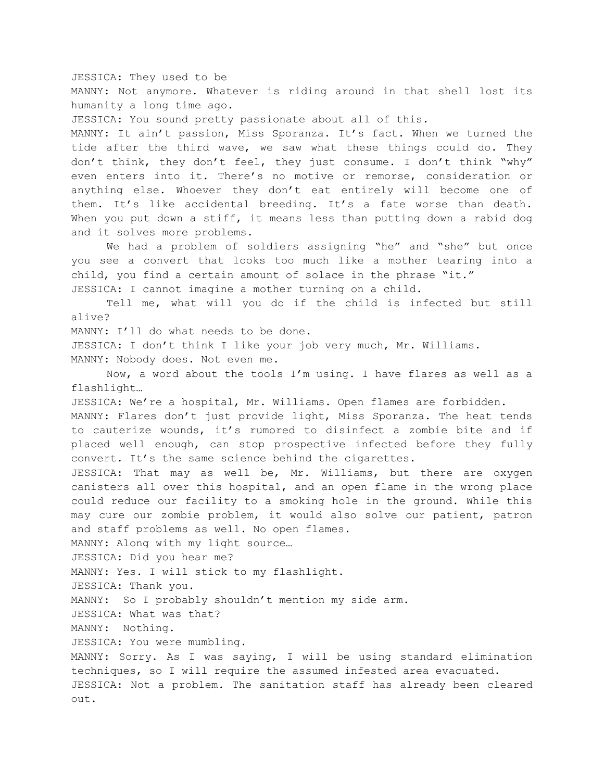JESSICA: They used to be MANNY: Not anymore. Whatever is riding around in that shell lost its humanity a long time ago. JESSICA: You sound pretty passionate about all of this. MANNY: It ain't passion, Miss Sporanza. It's fact. When we turned the tide after the third wave, we saw what these things could do. They don't think, they don't feel, they just consume. I don't think "why" even enters into it. There's no motive or remorse, consideration or anything else. Whoever they don't eat entirely will become one of them. It's like accidental breeding. It's a fate worse than death. When you put down a stiff, it means less than putting down a rabid dog and it solves more problems. We had a problem of soldiers assigning "he" and "she" but once you see a convert that looks too much like a mother tearing into a child, you find a certain amount of solace in the phrase "it." JESSICA: I cannot imagine a mother turning on a child. Tell me, what will you do if the child is infected but still alive? MANNY: I'll do what needs to be done. JESSICA: I don't think I like your job very much, Mr. Williams. MANNY: Nobody does. Not even me. Now, a word about the tools I'm using. I have flares as well as a flashlight… JESSICA: We're a hospital, Mr. Williams. Open flames are forbidden. MANNY: Flares don't just provide light, Miss Sporanza. The heat tends to cauterize wounds, it's rumored to disinfect a zombie bite and if placed well enough, can stop prospective infected before they fully convert. It's the same science behind the cigarettes. JESSICA: That may as well be, Mr. Williams, but there are oxygen canisters all over this hospital, and an open flame in the wrong place could reduce our facility to a smoking hole in the ground. While this may cure our zombie problem, it would also solve our patient, patron and staff problems as well. No open flames. MANNY: Along with my light source… JESSICA: Did you hear me? MANNY: Yes. I will stick to my flashlight. JESSICA: Thank you. MANNY: So I probably shouldn't mention my side arm. JESSICA: What was that? MANNY: Nothing. JESSICA: You were mumbling. MANNY: Sorry. As I was saying, I will be using standard elimination techniques, so I will require the assumed infested area evacuated. JESSICA: Not a problem. The sanitation staff has already been cleared out.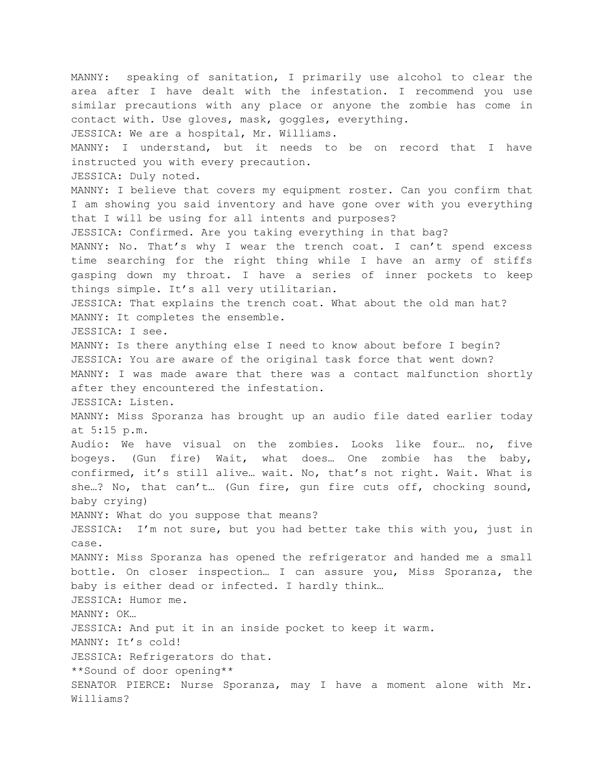MANNY: speaking of sanitation, I primarily use alcohol to clear the area after I have dealt with the infestation. I recommend you use similar precautions with any place or anyone the zombie has come in contact with. Use gloves, mask, goggles, everything. JESSICA: We are a hospital, Mr. Williams. MANNY: I understand, but it needs to be on record that I have instructed you with every precaution. JESSICA: Duly noted. MANNY: I believe that covers my equipment roster. Can you confirm that I am showing you said inventory and have gone over with you everything that I will be using for all intents and purposes? JESSICA: Confirmed. Are you taking everything in that bag? MANNY: No. That's why I wear the trench coat. I can't spend excess time searching for the right thing while I have an army of stiffs gasping down my throat. I have a series of inner pockets to keep things simple. It's all very utilitarian. JESSICA: That explains the trench coat. What about the old man hat? MANNY: It completes the ensemble. JESSICA: I see. MANNY: Is there anything else I need to know about before I begin? JESSICA: You are aware of the original task force that went down? MANNY: I was made aware that there was a contact malfunction shortly after they encountered the infestation. JESSICA: Listen. MANNY: Miss Sporanza has brought up an audio file dated earlier today at 5:15 p.m. Audio: We have visual on the zombies. Looks like four… no, five bogeys. (Gun fire) Wait, what does… One zombie has the baby, confirmed, it's still alive… wait. No, that's not right. Wait. What is she…? No, that can't… (Gun fire, gun fire cuts off, chocking sound, baby crying) MANNY: What do you suppose that means? JESSICA: I'm not sure, but you had better take this with you, just in case. MANNY: Miss Sporanza has opened the refrigerator and handed me a small bottle. On closer inspection… I can assure you, Miss Sporanza, the baby is either dead or infected. I hardly think… JESSICA: Humor me. MANNY: OK… JESSICA: And put it in an inside pocket to keep it warm. MANNY: It's cold! JESSICA: Refrigerators do that. \*\*Sound of door opening\*\* SENATOR PIERCE: Nurse Sporanza, may I have a moment alone with Mr. Williams?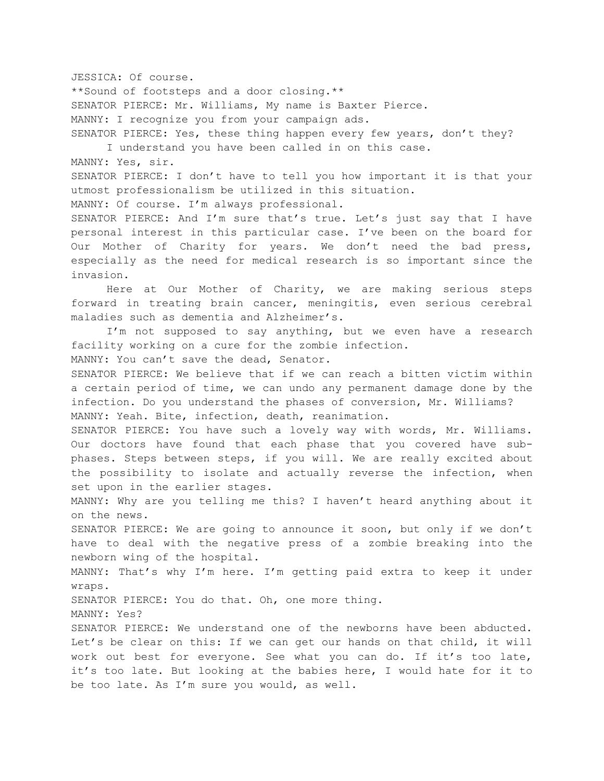JESSICA: Of course.

\*\*Sound of footsteps and a door closing.\*\* SENATOR PIERCE: Mr. Williams, My name is Baxter Pierce. MANNY: I recognize you from your campaign ads. SENATOR PIERCE: Yes, these thing happen every few years, don't they?

I understand you have been called in on this case.

MANNY: Yes, sir.

SENATOR PIERCE: I don't have to tell you how important it is that your utmost professionalism be utilized in this situation.

MANNY: Of course. I'm always professional.

SENATOR PIERCE: And I'm sure that's true. Let's just say that I have personal interest in this particular case. I've been on the board for Our Mother of Charity for years. We don't need the bad press, especially as the need for medical research is so important since the invasion.

Here at Our Mother of Charity, we are making serious steps forward in treating brain cancer, meningitis, even serious cerebral maladies such as dementia and Alzheimer's.

I'm not supposed to say anything, but we even have a research facility working on a cure for the zombie infection.

MANNY: You can't save the dead, Senator.

SENATOR PIERCE: We believe that if we can reach a bitten victim within a certain period of time, we can undo any permanent damage done by the infection. Do you understand the phases of conversion, Mr. Williams? MANNY: Yeah. Bite, infection, death, reanimation.

SENATOR PIERCE: You have such a lovely way with words, Mr. Williams. Our doctors have found that each phase that you covered have subphases. Steps between steps, if you will. We are really excited about the possibility to isolate and actually reverse the infection, when set upon in the earlier stages.

MANNY: Why are you telling me this? I haven't heard anything about it on the news.

SENATOR PIERCE: We are going to announce it soon, but only if we don't have to deal with the negative press of a zombie breaking into the newborn wing of the hospital.

MANNY: That's why I'm here. I'm getting paid extra to keep it under wraps.

SENATOR PIERCE: You do that. Oh, one more thing.

MANNY: Yes?

SENATOR PIERCE: We understand one of the newborns have been abducted. Let's be clear on this: If we can get our hands on that child, it will work out best for everyone. See what you can do. If it's too late, it's too late. But looking at the babies here, I would hate for it to be too late. As I'm sure you would, as well.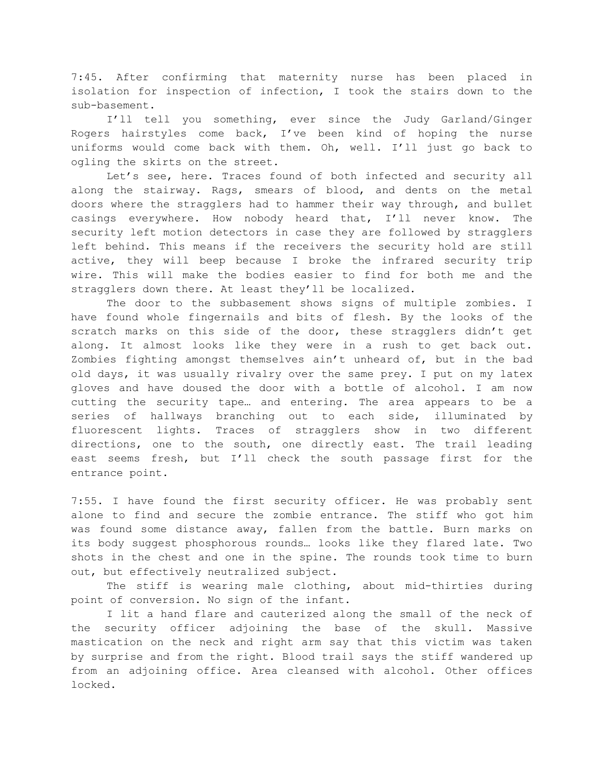7:45. After confirming that maternity nurse has been placed in isolation for inspection of infection, I took the stairs down to the sub-basement.

I'll tell you something, ever since the Judy Garland/Ginger Rogers hairstyles come back, I've been kind of hoping the nurse uniforms would come back with them. Oh, well. I'll just go back to ogling the skirts on the street.

Let's see, here. Traces found of both infected and security all along the stairway. Rags, smears of blood, and dents on the metal doors where the stragglers had to hammer their way through, and bullet casings everywhere. How nobody heard that, I'll never know. The security left motion detectors in case they are followed by stragglers left behind. This means if the receivers the security hold are still active, they will beep because I broke the infrared security trip wire. This will make the bodies easier to find for both me and the stragglers down there. At least they'll be localized.

The door to the subbasement shows signs of multiple zombies. I have found whole fingernails and bits of flesh. By the looks of the scratch marks on this side of the door, these stragglers didn't get along. It almost looks like they were in a rush to get back out. Zombies fighting amongst themselves ain't unheard of, but in the bad old days, it was usually rivalry over the same prey. I put on my latex gloves and have doused the door with a bottle of alcohol. I am now cutting the security tape… and entering. The area appears to be a series of hallways branching out to each side, illuminated by fluorescent lights. Traces of stragglers show in two different directions, one to the south, one directly east. The trail leading east seems fresh, but I'll check the south passage first for the entrance point.

7:55. I have found the first security officer. He was probably sent alone to find and secure the zombie entrance. The stiff who got him was found some distance away, fallen from the battle. Burn marks on its body suggest phosphorous rounds… looks like they flared late. Two shots in the chest and one in the spine. The rounds took time to burn out, but effectively neutralized subject.

The stiff is wearing male clothing, about mid-thirties during point of conversion. No sign of the infant.

I lit a hand flare and cauterized along the small of the neck of the security officer adjoining the base of the skull. Massive mastication on the neck and right arm say that this victim was taken by surprise and from the right. Blood trail says the stiff wandered up from an adjoining office. Area cleansed with alcohol. Other offices locked.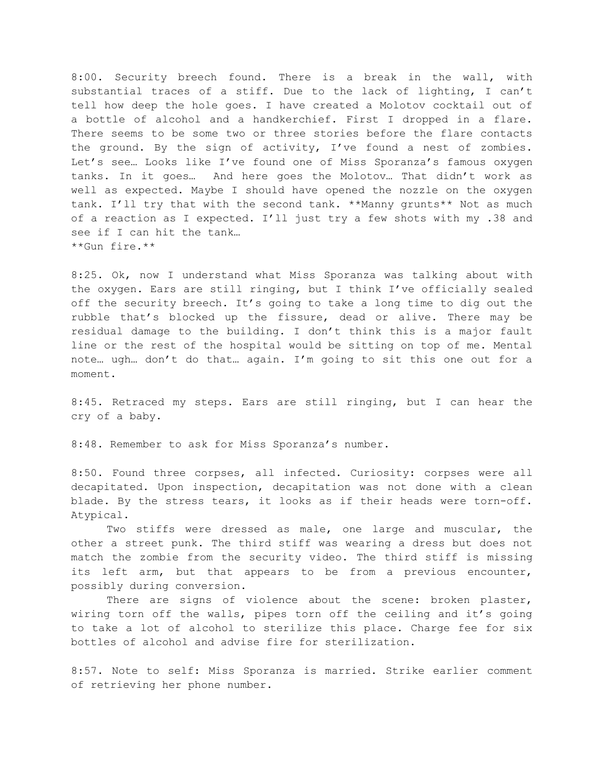8:00. Security breech found. There is a break in the wall, with substantial traces of a stiff. Due to the lack of lighting, I can't tell how deep the hole goes. I have created a Molotov cocktail out of a bottle of alcohol and a handkerchief. First I dropped in a flare. There seems to be some two or three stories before the flare contacts the ground. By the sign of activity, I've found a nest of zombies. Let's see… Looks like I've found one of Miss Sporanza's famous oxygen tanks. In it goes… And here goes the Molotov… That didn't work as well as expected. Maybe I should have opened the nozzle on the oxygen tank. I'll try that with the second tank. \*\*Manny grunts\*\* Not as much of a reaction as I expected. I'll just try a few shots with my .38 and see if I can hit the tank… \*\*Gun fire.\*\*

8:25. Ok, now I understand what Miss Sporanza was talking about with the oxygen. Ears are still ringing, but I think I've officially sealed off the security breech. It's going to take a long time to dig out the rubble that's blocked up the fissure, dead or alive. There may be residual damage to the building. I don't think this is a major fault line or the rest of the hospital would be sitting on top of me. Mental note… ugh… don't do that… again. I'm going to sit this one out for a moment.

8:45. Retraced my steps. Ears are still ringing, but I can hear the cry of a baby.

8:48. Remember to ask for Miss Sporanza's number.

8:50. Found three corpses, all infected. Curiosity: corpses were all decapitated. Upon inspection, decapitation was not done with a clean blade. By the stress tears, it looks as if their heads were torn-off. Atypical.

Two stiffs were dressed as male, one large and muscular, the other a street punk. The third stiff was wearing a dress but does not match the zombie from the security video. The third stiff is missing its left arm, but that appears to be from a previous encounter, possibly during conversion.

There are signs of violence about the scene: broken plaster, wiring torn off the walls, pipes torn off the ceiling and it's going to take a lot of alcohol to sterilize this place. Charge fee for six bottles of alcohol and advise fire for sterilization.

8:57. Note to self: Miss Sporanza is married. Strike earlier comment of retrieving her phone number.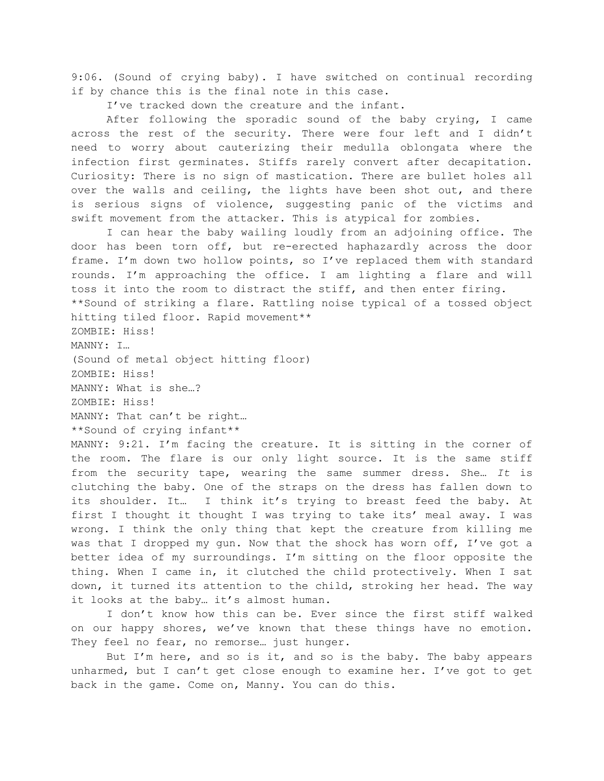9:06. (Sound of crying baby). I have switched on continual recording if by chance this is the final note in this case.

I've tracked down the creature and the infant.

After following the sporadic sound of the baby crying, I came across the rest of the security. There were four left and I didn't need to worry about cauterizing their medulla oblongata where the infection first germinates. Stiffs rarely convert after decapitation. Curiosity: There is no sign of mastication. There are bullet holes all over the walls and ceiling, the lights have been shot out, and there is serious signs of violence, suggesting panic of the victims and swift movement from the attacker. This is atypical for zombies.

I can hear the baby wailing loudly from an adjoining office. The door has been torn off, but re-erected haphazardly across the door frame. I'm down two hollow points, so I've replaced them with standard rounds. I'm approaching the office. I am lighting a flare and will toss it into the room to distract the stiff, and then enter firing. \*\*Sound of striking a flare. Rattling noise typical of a tossed object hitting tiled floor. Rapid movement\*\*

ZOMBIE: Hiss! MANNY: I… (Sound of metal object hitting floor) ZOMBIE: Hiss! MANNY: What is she…? ZOMBIE: Hiss! MANNY: That can't be right… \*\*Sound of crying infant\*\*

MANNY: 9:21. I'm facing the creature. It is sitting in the corner of the room. The flare is our only light source. It is the same stiff from the security tape, wearing the same summer dress. She… *It* is clutching the baby. One of the straps on the dress has fallen down to its shoulder. It… I think it's trying to breast feed the baby. At first I thought it thought I was trying to take its' meal away. I was wrong. I think the only thing that kept the creature from killing me was that I dropped my gun. Now that the shock has worn off, I've got a better idea of my surroundings. I'm sitting on the floor opposite the thing. When I came in, it clutched the child protectively. When I sat down, it turned its attention to the child, stroking her head. The way it looks at the baby… it's almost human.

I don't know how this can be. Ever since the first stiff walked on our happy shores, we've known that these things have no emotion. They feel no fear, no remorse... just hunger.

But I'm here, and so is it, and so is the baby. The baby appears unharmed, but I can't get close enough to examine her. I've got to get back in the game. Come on, Manny. You can do this.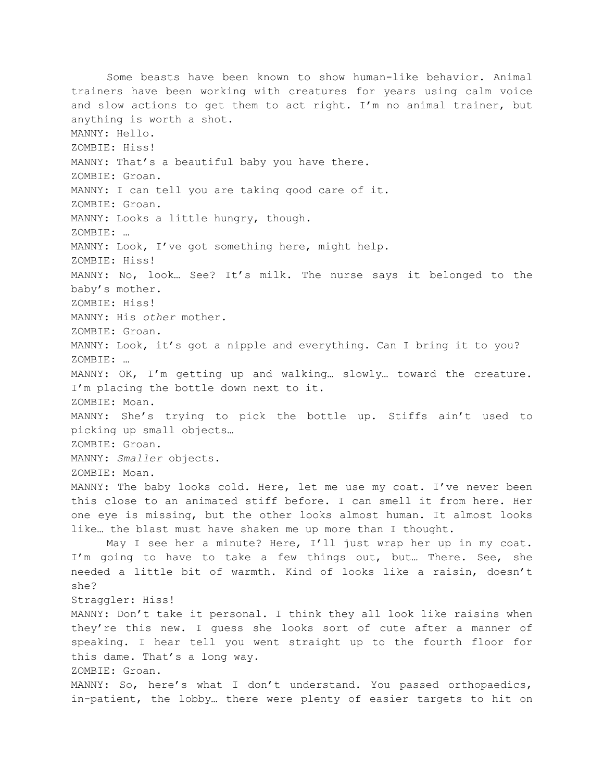Some beasts have been known to show human-like behavior. Animal trainers have been working with creatures for years using calm voice and slow actions to get them to act right. I'm no animal trainer, but anything is worth a shot. MANNY: Hello. ZOMBIE: Hiss! MANNY: That's a beautiful baby you have there. ZOMBIE: Groan. MANNY: I can tell you are taking good care of it. ZOMBIE: Groan. MANNY: Looks a little hungry, though. ZOMBIE: … MANNY: Look, I've got something here, might help. ZOMBIE: Hiss! MANNY: No, look… See? It's milk. The nurse says it belonged to the baby's mother. ZOMBIE: Hiss! MANNY: His *other* mother. ZOMBIE: Groan. MANNY: Look, it's got a nipple and everything. Can I bring it to you? ZOMBIE: … MANNY: OK, I'm getting up and walking… slowly… toward the creature. I'm placing the bottle down next to it. ZOMBIE: Moan. MANNY: She's trying to pick the bottle up. Stiffs ain't used to picking up small objects… ZOMBIE: Groan. MANNY: *Smaller* objects. ZOMBIE: Moan. MANNY: The baby looks cold. Here, let me use my coat. I've never been this close to an animated stiff before. I can smell it from here. Her one eye is missing, but the other looks almost human. It almost looks like… the blast must have shaken me up more than I thought. May I see her a minute? Here, I'll just wrap her up in my coat. I'm going to have to take a few things out, but… There. See, she needed a little bit of warmth. Kind of looks like a raisin, doesn't she? Straggler: Hiss! MANNY: Don't take it personal. I think they all look like raisins when they're this new. I guess she looks sort of cute after a manner of speaking. I hear tell you went straight up to the fourth floor for this dame. That's a long way. ZOMBIE: Groan. MANNY: So, here's what I don't understand. You passed orthopaedics, in-patient, the lobby… there were plenty of easier targets to hit on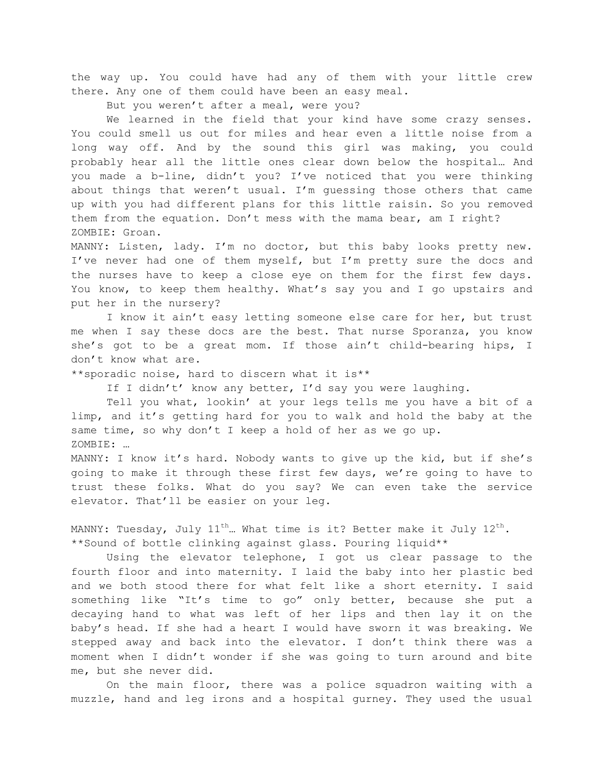the way up. You could have had any of them with your little crew there. Any one of them could have been an easy meal.

But you weren't after a meal, were you?

We learned in the field that your kind have some crazy senses. You could smell us out for miles and hear even a little noise from a long way off. And by the sound this girl was making, you could probably hear all the little ones clear down below the hospital… And you made a b-line, didn't you? I've noticed that you were thinking about things that weren't usual. I'm guessing those others that came up with you had different plans for this little raisin. So you removed them from the equation. Don't mess with the mama bear, am I right? ZOMBIE: Groan.

MANNY: Listen, lady. I'm no doctor, but this baby looks pretty new. I've never had one of them myself, but I'm pretty sure the docs and the nurses have to keep a close eye on them for the first few days. You know, to keep them healthy. What's say you and I go upstairs and put her in the nursery?

I know it ain't easy letting someone else care for her, but trust me when I say these docs are the best. That nurse Sporanza, you know she's got to be a great mom. If those ain't child-bearing hips, I don't know what are.

\*\*sporadic noise, hard to discern what it is\*\*

If I didn't' know any better, I'd say you were laughing.

Tell you what, lookin' at your legs tells me you have a bit of a limp, and it's getting hard for you to walk and hold the baby at the same time, so why don't I keep a hold of her as we go up. ZOMBIE: …

MANNY: I know it's hard. Nobody wants to give up the kid, but if she's going to make it through these first few days, we're going to have to trust these folks. What do you say? We can even take the service elevator. That'll be easier on your leg.

MANNY: Tuesday, July  $11^{th}$ ... What time is it? Better make it July  $12^{th}$ . \*\*Sound of bottle clinking against glass. Pouring liquid\*\*

Using the elevator telephone, I got us clear passage to the fourth floor and into maternity. I laid the baby into her plastic bed and we both stood there for what felt like a short eternity. I said something like "It's time to go" only better, because she put a decaying hand to what was left of her lips and then lay it on the baby's head. If she had a heart I would have sworn it was breaking. We stepped away and back into the elevator. I don't think there was a moment when I didn't wonder if she was going to turn around and bite me, but she never did.

On the main floor, there was a police squadron waiting with a muzzle, hand and leg irons and a hospital gurney. They used the usual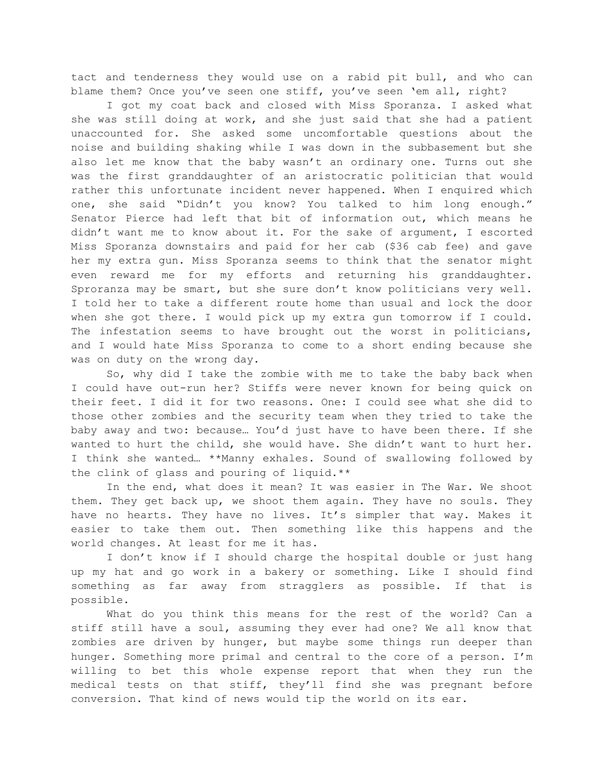tact and tenderness they would use on a rabid pit bull, and who can blame them? Once you've seen one stiff, you've seen 'em all, right?

I got my coat back and closed with Miss Sporanza. I asked what she was still doing at work, and she just said that she had a patient unaccounted for. She asked some uncomfortable questions about the noise and building shaking while I was down in the subbasement but she also let me know that the baby wasn't an ordinary one. Turns out she was the first granddaughter of an aristocratic politician that would rather this unfortunate incident never happened. When I enquired which one, she said "Didn't you know? You talked to him long enough." Senator Pierce had left that bit of information out, which means he didn't want me to know about it. For the sake of argument, I escorted Miss Sporanza downstairs and paid for her cab (\$36 cab fee) and gave her my extra gun. Miss Sporanza seems to think that the senator might even reward me for my efforts and returning his granddaughter. Sproranza may be smart, but she sure don't know politicians very well. I told her to take a different route home than usual and lock the door when she got there. I would pick up my extra gun tomorrow if I could. The infestation seems to have brought out the worst in politicians, and I would hate Miss Sporanza to come to a short ending because she was on duty on the wrong day.

So, why did I take the zombie with me to take the baby back when I could have out-run her? Stiffs were never known for being quick on their feet. I did it for two reasons. One: I could see what she did to those other zombies and the security team when they tried to take the baby away and two: because… You'd just have to have been there. If she wanted to hurt the child, she would have. She didn't want to hurt her. I think she wanted… \*\*Manny exhales. Sound of swallowing followed by the clink of glass and pouring of liquid.\*\*

In the end, what does it mean? It was easier in The War. We shoot them. They get back up, we shoot them again. They have no souls. They have no hearts. They have no lives. It's simpler that way. Makes it easier to take them out. Then something like this happens and the world changes. At least for me it has.

I don't know if I should charge the hospital double or just hang up my hat and go work in a bakery or something. Like I should find something as far away from stragglers as possible. If that is possible.

What do you think this means for the rest of the world? Can a stiff still have a soul, assuming they ever had one? We all know that zombies are driven by hunger, but maybe some things run deeper than hunger. Something more primal and central to the core of a person. I'm willing to bet this whole expense report that when they run the medical tests on that stiff, they'll find she was pregnant before conversion. That kind of news would tip the world on its ear.